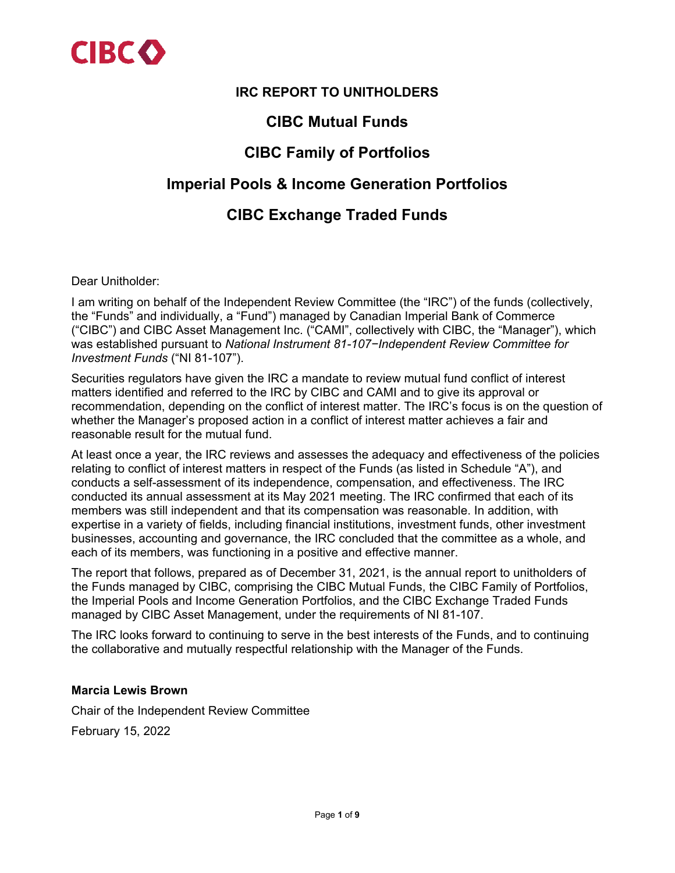

### **IRC REPORT TO UNITHOLDERS**

# **CIBC Mutual Funds**

# **CIBC Family of Portfolios**

## **Imperial Pools & Income Generation Portfolios**

# **CIBC Exchange Traded Funds**

Dear Unitholder:

I am writing on behalf of the Independent Review Committee (the "IRC") of the funds (collectively, the "Funds" and individually, a "Fund") managed by Canadian Imperial Bank of Commerce ("CIBC") and CIBC Asset Management Inc. ("CAMI", collectively with CIBC, the "Manager"), which was established pursuant to *National Instrument 81-107−Independent Review Committee for Investment Funds* ("NI 81-107").

Securities regulators have given the IRC a mandate to review mutual fund conflict of interest matters identified and referred to the IRC by CIBC and CAMI and to give its approval or recommendation, depending on the conflict of interest matter. The IRC's focus is on the question of whether the Manager's proposed action in a conflict of interest matter achieves a fair and reasonable result for the mutual fund.

At least once a year, the IRC reviews and assesses the adequacy and effectiveness of the policies relating to conflict of interest matters in respect of the Funds (as listed in Schedule "A"), and conducts a self-assessment of its independence, compensation, and effectiveness. The IRC conducted its annual assessment at its May 2021 meeting. The IRC confirmed that each of its members was still independent and that its compensation was reasonable. In addition, with expertise in a variety of fields, including financial institutions, investment funds, other investment businesses, accounting and governance, the IRC concluded that the committee as a whole, and each of its members, was functioning in a positive and effective manner.

The report that follows, prepared as of December 31, 2021, is the annual report to unitholders of the Funds managed by CIBC, comprising the CIBC Mutual Funds, the CIBC Family of Portfolios, the Imperial Pools and Income Generation Portfolios, and the CIBC Exchange Traded Funds managed by CIBC Asset Management, under the requirements of NI 81-107.

The IRC looks forward to continuing to serve in the best interests of the Funds, and to continuing the collaborative and mutually respectful relationship with the Manager of the Funds.

#### **Marcia Lewis Brown**

Chair of the Independent Review Committee

February 15, 2022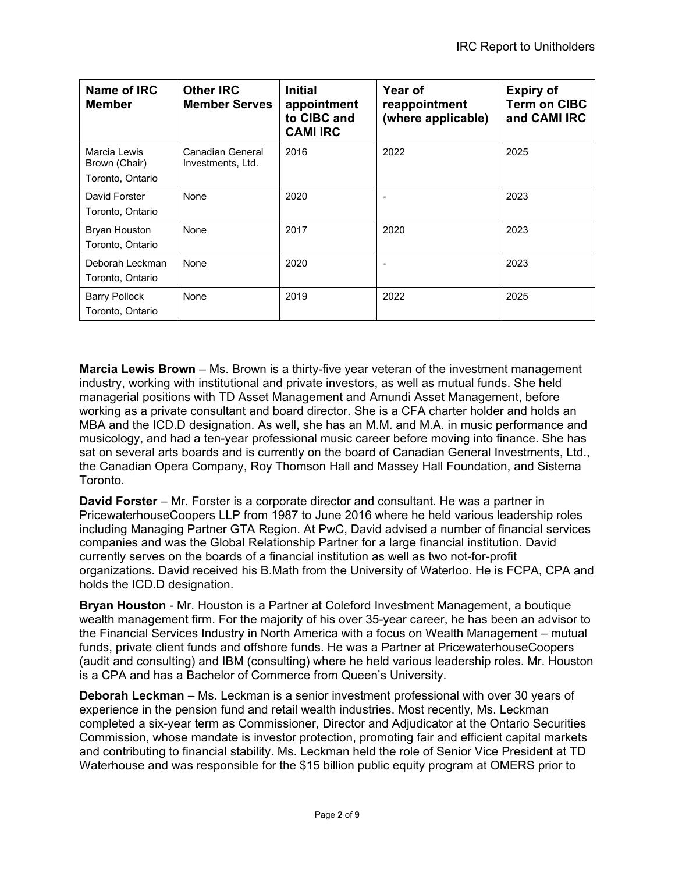| Name of IRC<br><b>Member</b>                      | <b>Other IRC</b><br><b>Member Serves</b> | <b>Initial</b><br>appointment<br>to CIBC and<br><b>CAMI IRC</b> | Year of<br>reappointment<br>(where applicable) | <b>Expiry of</b><br><b>Term on CIBC</b><br>and CAMI IRC |
|---------------------------------------------------|------------------------------------------|-----------------------------------------------------------------|------------------------------------------------|---------------------------------------------------------|
| Marcia Lewis<br>Brown (Chair)<br>Toronto, Ontario | Canadian General<br>Investments, Ltd.    | 2016                                                            | 2022                                           | 2025                                                    |
| David Forster<br>Toronto, Ontario                 | None                                     | 2020                                                            |                                                | 2023                                                    |
| <b>Bryan Houston</b><br>Toronto, Ontario          | None                                     | 2017                                                            | 2020                                           | 2023                                                    |
| Deborah Leckman<br>Toronto, Ontario               | None                                     | 2020                                                            |                                                | 2023                                                    |
| Barry Pollock<br>Toronto, Ontario                 | None                                     | 2019                                                            | 2022                                           | 2025                                                    |

**Marcia Lewis Brown** – Ms. Brown is a thirty-five year veteran of the investment management industry, working with institutional and private investors, as well as mutual funds. She held managerial positions with TD Asset Management and Amundi Asset Management, before working as a private consultant and board director. She is a CFA charter holder and holds an MBA and the ICD.D designation. As well, she has an M.M. and M.A. in music performance and musicology, and had a ten-year professional music career before moving into finance. She has sat on several arts boards and is currently on the board of Canadian General Investments, Ltd., the Canadian Opera Company, Roy Thomson Hall and Massey Hall Foundation, and Sistema Toronto.

**David Forster** – Mr. Forster is a corporate director and consultant. He was a partner in PricewaterhouseCoopers LLP from 1987 to June 2016 where he held various leadership roles including Managing Partner GTA Region. At PwC, David advised a number of financial services companies and was the Global Relationship Partner for a large financial institution. David currently serves on the boards of a financial institution as well as two not-for-profit organizations. David received his B.Math from the University of Waterloo. He is FCPA, CPA and holds the ICD.D designation.

**Bryan Houston** - Mr. Houston is a Partner at Coleford Investment Management, a boutique wealth management firm. For the majority of his over 35-year career, he has been an advisor to the Financial Services Industry in North America with a focus on Wealth Management – mutual funds, private client funds and offshore funds. He was a Partner at PricewaterhouseCoopers (audit and consulting) and IBM (consulting) where he held various leadership roles. Mr. Houston is a CPA and has a Bachelor of Commerce from Queen's University.

**Deborah Leckman** – Ms. Leckman is a senior investment professional with over 30 years of experience in the pension fund and retail wealth industries. Most recently, Ms. Leckman completed a six-year term as Commissioner, Director and Adjudicator at the Ontario Securities Commission, whose mandate is investor protection, promoting fair and efficient capital markets and contributing to financial stability. Ms. Leckman held the role of Senior Vice President at TD Waterhouse and was responsible for the \$15 billion public equity program at OMERS prior to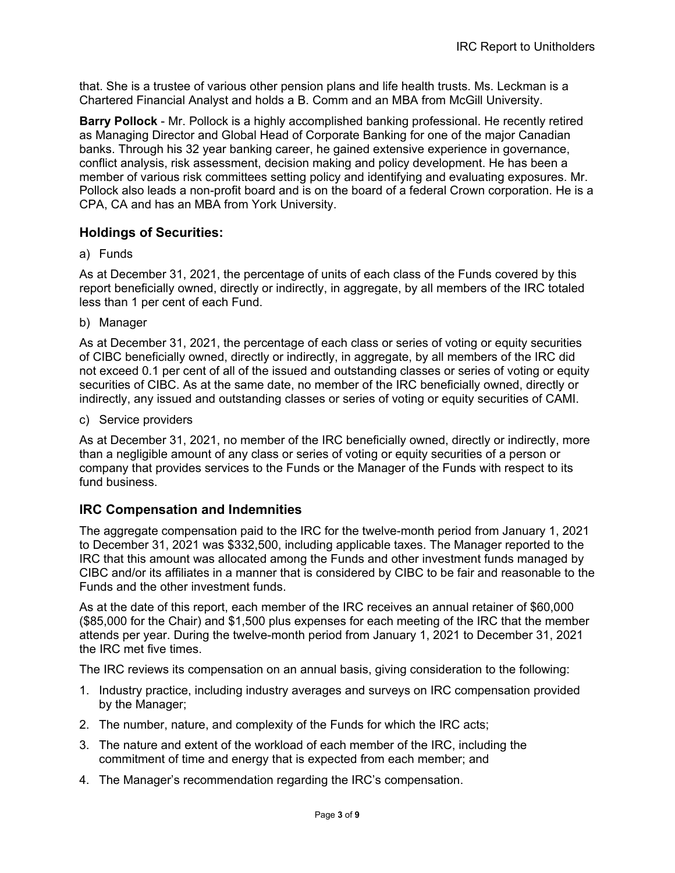that. She is a trustee of various other pension plans and life health trusts. Ms. Leckman is a Chartered Financial Analyst and holds a B. Comm and an MBA from McGill University.

**Barry Pollock** - Mr. Pollock is a highly accomplished banking professional. He recently retired as Managing Director and Global Head of Corporate Banking for one of the major Canadian banks. Through his 32 year banking career, he gained extensive experience in governance, conflict analysis, risk assessment, decision making and policy development. He has been a member of various risk committees setting policy and identifying and evaluating exposures. Mr. Pollock also leads a non-profit board and is on the board of a federal Crown corporation. He is a CPA, CA and has an MBA from York University.

### **Holdings of Securities:**

a) Funds

As at December 31, 2021, the percentage of units of each class of the Funds covered by this report beneficially owned, directly or indirectly, in aggregate, by all members of the IRC totaled less than 1 per cent of each Fund.

b) Manager

As at December 31, 2021, the percentage of each class or series of voting or equity securities of CIBC beneficially owned, directly or indirectly, in aggregate, by all members of the IRC did not exceed 0.1 per cent of all of the issued and outstanding classes or series of voting or equity securities of CIBC. As at the same date, no member of the IRC beneficially owned, directly or indirectly, any issued and outstanding classes or series of voting or equity securities of CAMI.

c) Service providers

As at December 31, 2021, no member of the IRC beneficially owned, directly or indirectly, more than a negligible amount of any class or series of voting or equity securities of a person or company that provides services to the Funds or the Manager of the Funds with respect to its fund business.

### **IRC Compensation and Indemnities**

The aggregate compensation paid to the IRC for the twelve-month period from January 1, 2021 to December 31, 2021 was \$332,500, including applicable taxes. The Manager reported to the IRC that this amount was allocated among the Funds and other investment funds managed by CIBC and/or its affiliates in a manner that is considered by CIBC to be fair and reasonable to the Funds and the other investment funds.

As at the date of this report, each member of the IRC receives an annual retainer of \$60,000 (\$85,000 for the Chair) and \$1,500 plus expenses for each meeting of the IRC that the member attends per year. During the twelve-month period from January 1, 2021 to December 31, 2021 the IRC met five times.

The IRC reviews its compensation on an annual basis, giving consideration to the following:

- 1. Industry practice, including industry averages and surveys on IRC compensation provided by the Manager;
- 2. The number, nature, and complexity of the Funds for which the IRC acts;
- 3. The nature and extent of the workload of each member of the IRC, including the commitment of time and energy that is expected from each member; and
- 4. The Manager's recommendation regarding the IRC's compensation.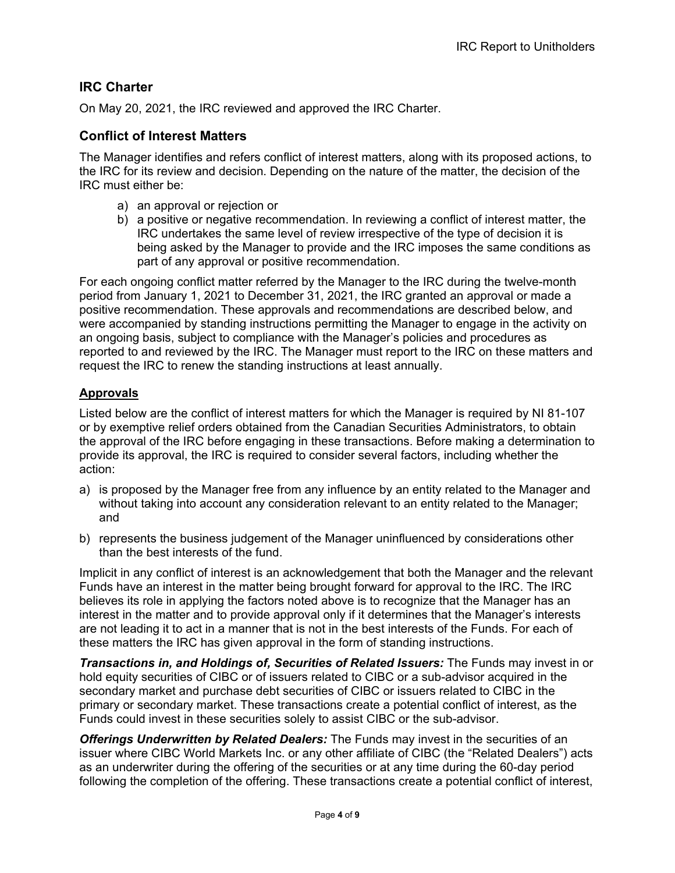## **IRC Charter**

On May 20, 2021, the IRC reviewed and approved the IRC Charter.

### **Conflict of Interest Matters**

The Manager identifies and refers conflict of interest matters, along with its proposed actions, to the IRC for its review and decision. Depending on the nature of the matter, the decision of the IRC must either be:

- a) an approval or rejection or
- b) a positive or negative recommendation. In reviewing a conflict of interest matter, the IRC undertakes the same level of review irrespective of the type of decision it is being asked by the Manager to provide and the IRC imposes the same conditions as part of any approval or positive recommendation.

For each ongoing conflict matter referred by the Manager to the IRC during the twelve-month period from January 1, 2021 to December 31, 2021, the IRC granted an approval or made a positive recommendation. These approvals and recommendations are described below, and were accompanied by standing instructions permitting the Manager to engage in the activity on an ongoing basis, subject to compliance with the Manager's policies and procedures as reported to and reviewed by the IRC. The Manager must report to the IRC on these matters and request the IRC to renew the standing instructions at least annually.

### **Approvals**

Listed below are the conflict of interest matters for which the Manager is required by NI 81-107 or by exemptive relief orders obtained from the Canadian Securities Administrators, to obtain the approval of the IRC before engaging in these transactions. Before making a determination to provide its approval, the IRC is required to consider several factors, including whether the action:

- a) is proposed by the Manager free from any influence by an entity related to the Manager and without taking into account any consideration relevant to an entity related to the Manager; and
- b) represents the business judgement of the Manager uninfluenced by considerations other than the best interests of the fund.

Implicit in any conflict of interest is an acknowledgement that both the Manager and the relevant Funds have an interest in the matter being brought forward for approval to the IRC. The IRC believes its role in applying the factors noted above is to recognize that the Manager has an interest in the matter and to provide approval only if it determines that the Manager's interests are not leading it to act in a manner that is not in the best interests of the Funds. For each of these matters the IRC has given approval in the form of standing instructions.

*Transactions in, and Holdings of, Securities of Related Issuers:* The Funds may invest in or hold equity securities of CIBC or of issuers related to CIBC or a sub-advisor acquired in the secondary market and purchase debt securities of CIBC or issuers related to CIBC in the primary or secondary market. These transactions create a potential conflict of interest, as the Funds could invest in these securities solely to assist CIBC or the sub-advisor.

*Offerings Underwritten by Related Dealers:* The Funds may invest in the securities of an issuer where CIBC World Markets Inc. or any other affiliate of CIBC (the "Related Dealers") acts as an underwriter during the offering of the securities or at any time during the 60-day period following the completion of the offering. These transactions create a potential conflict of interest,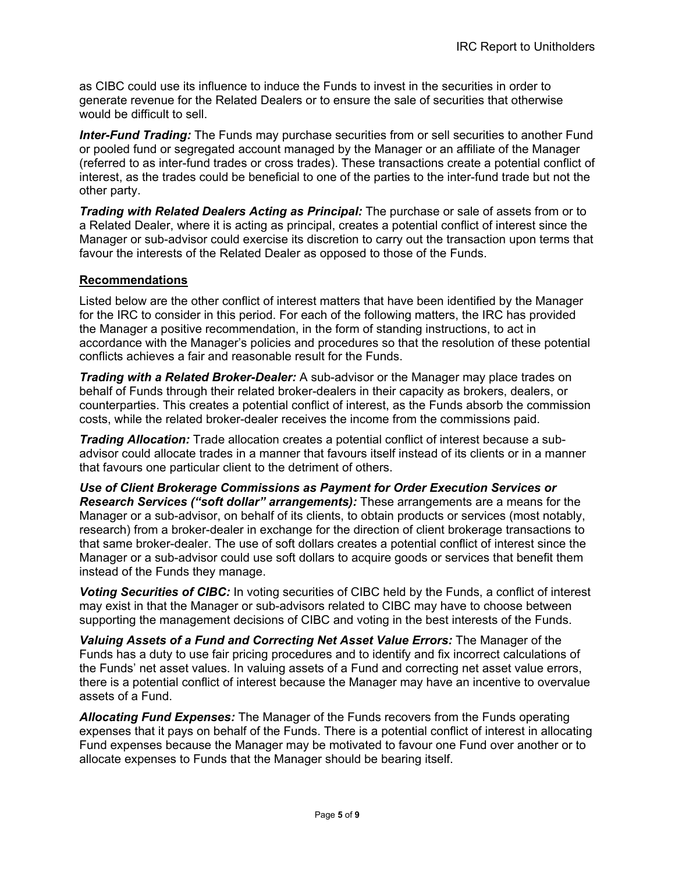as CIBC could use its influence to induce the Funds to invest in the securities in order to generate revenue for the Related Dealers or to ensure the sale of securities that otherwise would be difficult to sell.

*Inter-Fund Trading:* The Funds may purchase securities from or sell securities to another Fund or pooled fund or segregated account managed by the Manager or an affiliate of the Manager (referred to as inter-fund trades or cross trades). These transactions create a potential conflict of interest, as the trades could be beneficial to one of the parties to the inter-fund trade but not the other party.

*Trading with Related Dealers Acting as Principal:* The purchase or sale of assets from or to a Related Dealer, where it is acting as principal, creates a potential conflict of interest since the Manager or sub-advisor could exercise its discretion to carry out the transaction upon terms that favour the interests of the Related Dealer as opposed to those of the Funds.

#### **Recommendations**

Listed below are the other conflict of interest matters that have been identified by the Manager for the IRC to consider in this period. For each of the following matters, the IRC has provided the Manager a positive recommendation, in the form of standing instructions, to act in accordance with the Manager's policies and procedures so that the resolution of these potential conflicts achieves a fair and reasonable result for the Funds.

*Trading with a Related Broker-Dealer:* A sub-advisor or the Manager may place trades on behalf of Funds through their related broker-dealers in their capacity as brokers, dealers, or counterparties. This creates a potential conflict of interest, as the Funds absorb the commission costs, while the related broker-dealer receives the income from the commissions paid.

*Trading Allocation:* Trade allocation creates a potential conflict of interest because a subadvisor could allocate trades in a manner that favours itself instead of its clients or in a manner that favours one particular client to the detriment of others.

*Use of Client Brokerage Commissions as Payment for Order Execution Services or Research Services ("soft dollar" arrangements):* These arrangements are a means for the Manager or a sub-advisor, on behalf of its clients, to obtain products or services (most notably, research) from a broker-dealer in exchange for the direction of client brokerage transactions to that same broker-dealer. The use of soft dollars creates a potential conflict of interest since the Manager or a sub-advisor could use soft dollars to acquire goods or services that benefit them instead of the Funds they manage.

*Voting Securities of CIBC:* In voting securities of CIBC held by the Funds, a conflict of interest may exist in that the Manager or sub-advisors related to CIBC may have to choose between supporting the management decisions of CIBC and voting in the best interests of the Funds.

*Valuing Assets of a Fund and Correcting Net Asset Value Errors:* The Manager of the Funds has a duty to use fair pricing procedures and to identify and fix incorrect calculations of the Funds' net asset values. In valuing assets of a Fund and correcting net asset value errors, there is a potential conflict of interest because the Manager may have an incentive to overvalue assets of a Fund.

*Allocating Fund Expenses:* The Manager of the Funds recovers from the Funds operating expenses that it pays on behalf of the Funds. There is a potential conflict of interest in allocating Fund expenses because the Manager may be motivated to favour one Fund over another or to allocate expenses to Funds that the Manager should be bearing itself.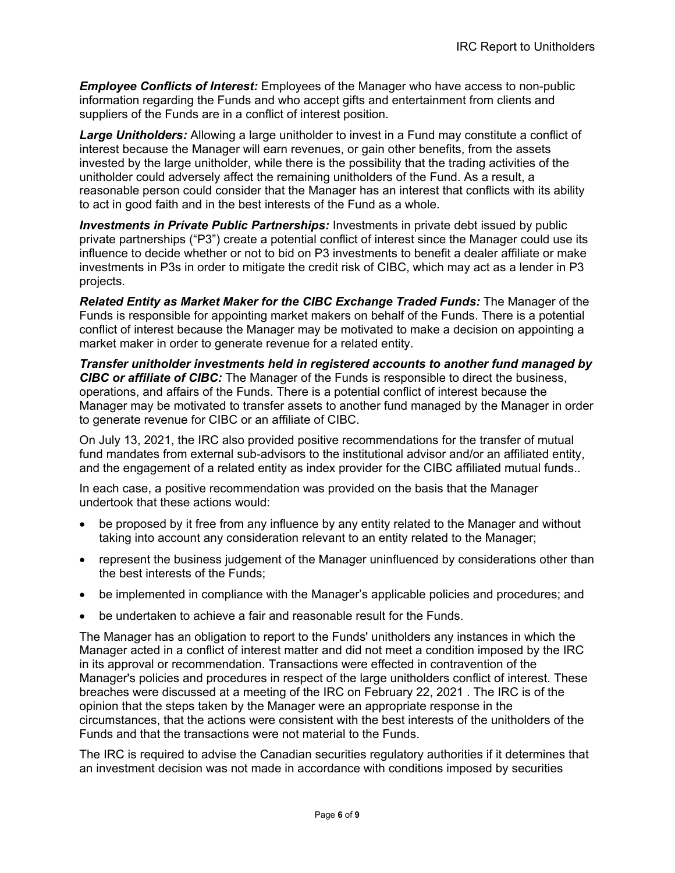*Employee Conflicts of Interest:* Employees of the Manager who have access to non-public information regarding the Funds and who accept gifts and entertainment from clients and suppliers of the Funds are in a conflict of interest position.

*Large Unitholders:* Allowing a large unitholder to invest in a Fund may constitute a conflict of interest because the Manager will earn revenues, or gain other benefits, from the assets invested by the large unitholder, while there is the possibility that the trading activities of the unitholder could adversely affect the remaining unitholders of the Fund. As a result, a reasonable person could consider that the Manager has an interest that conflicts with its ability to act in good faith and in the best interests of the Fund as a whole.

*Investments in Private Public Partnerships:* Investments in private debt issued by public private partnerships ("P3") create a potential conflict of interest since the Manager could use its influence to decide whether or not to bid on P3 investments to benefit a dealer affiliate or make investments in P3s in order to mitigate the credit risk of CIBC, which may act as a lender in P3 projects.

*Related Entity as Market Maker for the CIBC Exchange Traded Funds:* The Manager of the Funds is responsible for appointing market makers on behalf of the Funds. There is a potential conflict of interest because the Manager may be motivated to make a decision on appointing a market maker in order to generate revenue for a related entity.

*Transfer unitholder investments held in registered accounts to another fund managed by CIBC or affiliate of CIBC:* The Manager of the Funds is responsible to direct the business, operations, and affairs of the Funds. There is a potential conflict of interest because the Manager may be motivated to transfer assets to another fund managed by the Manager in order to generate revenue for CIBC or an affiliate of CIBC.

On July 13, 2021, the IRC also provided positive recommendations for the transfer of mutual fund mandates from external sub-advisors to the institutional advisor and/or an affiliated entity, and the engagement of a related entity as index provider for the CIBC affiliated mutual funds..

In each case, a positive recommendation was provided on the basis that the Manager undertook that these actions would:

- be proposed by it free from any influence by any entity related to the Manager and without taking into account any consideration relevant to an entity related to the Manager;
- represent the business judgement of the Manager uninfluenced by considerations other than the best interests of the Funds;
- be implemented in compliance with the Manager's applicable policies and procedures; and
- be undertaken to achieve a fair and reasonable result for the Funds.

The Manager has an obligation to report to the Funds' unitholders any instances in which the Manager acted in a conflict of interest matter and did not meet a condition imposed by the IRC in its approval or recommendation. Transactions were effected in contravention of the Manager's policies and procedures in respect of the large unitholders conflict of interest. These breaches were discussed at a meeting of the IRC on February 22, 2021 . The IRC is of the opinion that the steps taken by the Manager were an appropriate response in the circumstances, that the actions were consistent with the best interests of the unitholders of the Funds and that the transactions were not material to the Funds.

The IRC is required to advise the Canadian securities regulatory authorities if it determines that an investment decision was not made in accordance with conditions imposed by securities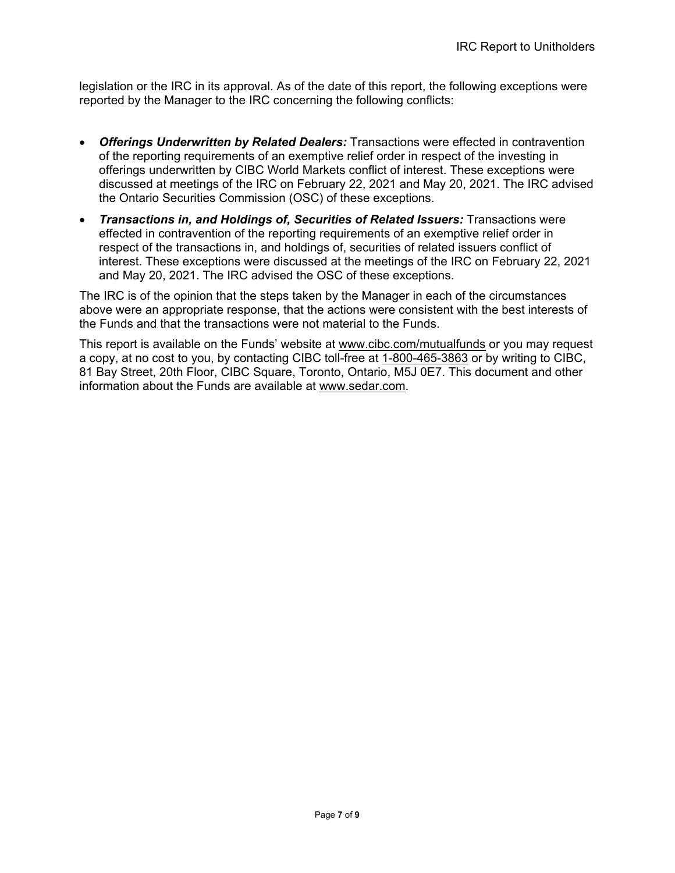legislation or the IRC in its approval. As of the date of this report, the following exceptions were reported by the Manager to the IRC concerning the following conflicts:

- *Offerings Underwritten by Related Dealers:* Transactions were effected in contravention of the reporting requirements of an exemptive relief order in respect of the investing in offerings underwritten by CIBC World Markets conflict of interest. These exceptions were discussed at meetings of the IRC on February 22, 2021 and May 20, 2021. The IRC advised the Ontario Securities Commission (OSC) of these exceptions.
- *Transactions in, and Holdings of, Securities of Related Issuers:* Transactions were effected in contravention of the reporting requirements of an exemptive relief order in respect of the transactions in, and holdings of, securities of related issuers conflict of interest. These exceptions were discussed at the meetings of the IRC on February 22, 2021 and May 20, 2021. The IRC advised the OSC of these exceptions.

The IRC is of the opinion that the steps taken by the Manager in each of the circumstances above were an appropriate response, that the actions were consistent with the best interests of the Funds and that the transactions were not material to the Funds.

This report is available on the Funds' website at [www.cibc.com/mutualfunds](file://tocs2001/wthmips_ds/CAM%20Regulatory/IRC/Independent%20Review%20Committee%20PRO%201320/Pre-Mail%20+7PRO1320/2021/20210218/IRC%20Annual%20Report%20to%20Unitholders%2031%20Dec/Report/www.cibc.com/mutualfunds) or you may request a copy, at no cost to you, by contacting CIBC toll-free at [1-800-465-3863](tel:1-800-465-3863) or by writing to CIBC, 81 Bay Street, 20th Floor, CIBC Square, Toronto, Ontario, M5J 0E7. This document and other information about the Funds are available at [www.sedar.com.](file://tocs2001/wthmips_ds/CAM%20Regulatory/IRC/Independent%20Review%20Committee%20PRO%201320/Pre-Mail%20+7PRO1320/2021/20210218/IRC%20Annual%20Report%20to%20Unitholders%2031%20Dec/Report/www.sedar.com)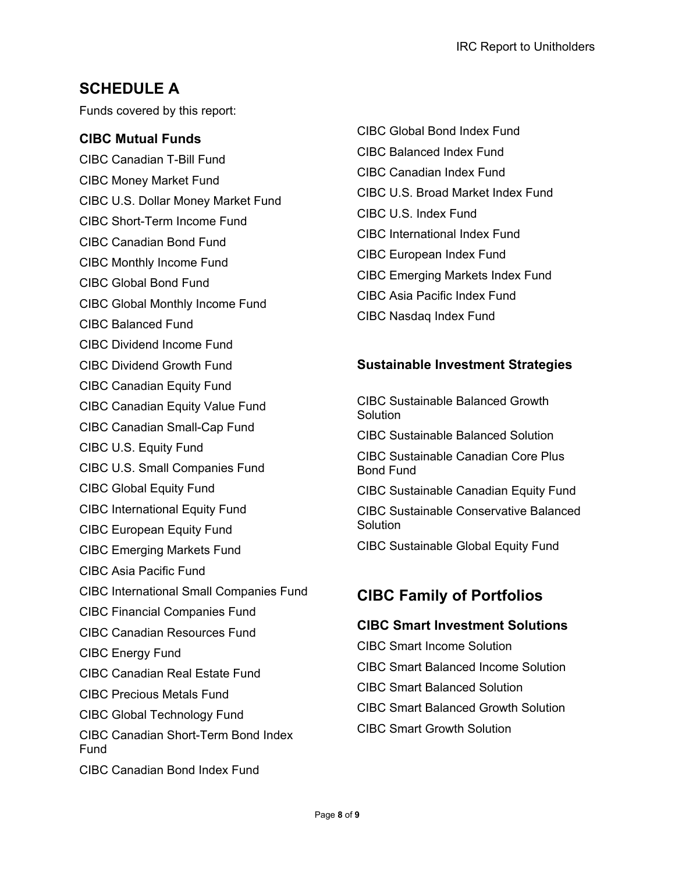# **SCHEDULE A**

Funds covered by this report:

### **CIBC Mutual Funds**

CIBC Canadian T-Bill Fund CIBC Money Market Fund CIBC U.S. Dollar Money Market Fund CIBC Short-Term Income Fund CIBC Canadian Bond Fund CIBC Monthly Income Fund CIBC Global Bond Fund

- CIBC Global Monthly Income Fund
- CIBC Balanced Fund
- CIBC Dividend Income Fund
- CIBC Dividend Growth Fund
- CIBC Canadian Equity Fund
- CIBC Canadian Equity Value Fund
- CIBC Canadian Small-Cap Fund
- CIBC U.S. Equity Fund
- CIBC U.S. Small Companies Fund
- CIBC Global Equity Fund
- CIBC International Equity Fund
- CIBC European Equity Fund
- CIBC Emerging Markets Fund
- CIBC Asia Pacific Fund
- CIBC International Small Companies Fund
- CIBC Financial Companies Fund
- CIBC Canadian Resources Fund
- CIBC Energy Fund
- CIBC Canadian Real Estate Fund
- CIBC Precious Metals Fund
- CIBC Global Technology Fund
- CIBC Canadian Short-Term Bond Index Fund
- CIBC Canadian Bond Index Fund

CIBC Global Bond Index Fund CIBC Balanced Index Fund CIBC Canadian Index Fund CIBC U.S. Broad Market Index Fund CIBC U.S. Index Fund CIBC International Index Fund CIBC European Index Fund CIBC Emerging Markets Index Fund CIBC Asia Pacific Index Fund CIBC Nasdaq Index Fund

### **Sustainable Investment Strategies**

CIBC Sustainable Balanced Growth **Solution** CIBC Sustainable Balanced Solution

CIBC Sustainable Canadian Core Plus Bond Fund

CIBC Sustainable Canadian Equity Fund CIBC Sustainable Conservative Balanced **Solution** 

CIBC Sustainable Global Equity Fund

# **CIBC Family of Portfolios**

### **CIBC Smart Investment Solutions**

CIBC Smart Income Solution CIBC Smart Balanced Income Solution CIBC Smart Balanced Solution CIBC Smart Balanced Growth Solution CIBC Smart Growth Solution